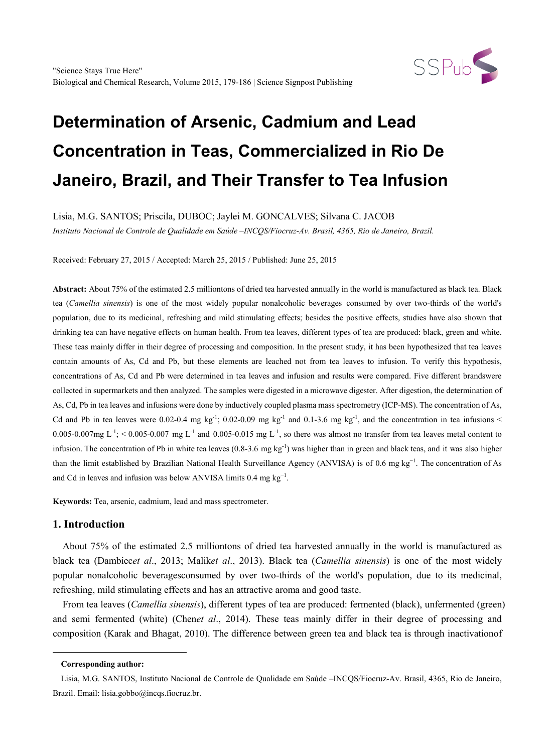

# **Determination of Arsenic, Cadmium and Lead Concentration in Teas, Commercialized in Rio De Janeiro, Brazil, and Their Transfer to Tea Infusion**

Lisia, M.G. SANTOS; Priscila, DUBOC; Jaylei M. GONCALVES; Silvana C. JACOB

*Instituto Nacional de Controle de Qualidade em Saúde –INCQS/Fiocruz-Av. Brasil, 4365, Rio de Janeiro, Brazil.*

Received: February 27, 2015 / Accepted: March 25, 2015 / Published: June 25, 2015

**Abstract:** About 75% of the estimated 2.5 milliontons of dried tea harvested annually in the world is manufactured as black tea. Black tea (*Camellia sinensis*) is one of the most widely popular nonalcoholic beverages consumed by over two-thirds of the world's population, due to its medicinal, refreshing and mild stimulating effects; besides the positive effects, studies have also shown that drinking tea can have negative effects on human health. From tea leaves, different types of tea are produced: black, green and white. These teas mainly differ in their degree of processing and composition. In the present study, it has been hypothesized that tea leaves contain amounts of As, Cd and Pb, but these elements are leached not from tea leaves to infusion. To verify this hypothesis, concentrations of As, Cd and Pb were determined in tea leaves and infusion and results were compared. Five different brandswere collected in supermarkets and then analyzed. The samples were digested in a microwave digester. After digestion, the determination of As, Cd, Pb in tea leaves and infusions were done by inductively coupled plasma mass spectrometry (ICP-MS). The concentration of As, Cd and Pb in tea leaves were 0.02-0.4 mg kg<sup>-1</sup>; 0.02-0.09 mg kg<sup>-1</sup> and 0.1-3.6 mg kg<sup>-1</sup>, and the concentration in tea infusions <  $0.005$ -0.007mg L<sup>-1</sup>; < 0.005-0.007 mg L<sup>-1</sup> and 0.005-0.015 mg L<sup>-1</sup>, so there was almost no transfer from tea leaves metal content to infusion. The concentration of Pb in white tea leaves  $(0.8-3.6 \text{ mg kg}^{-1})$  was higher than in green and black teas, and it was also higher than the limit established by Brazilian National Health Surveillance Agency (ANVISA) is of 0.6 mg kg<sup>-1</sup>. The concentration of As and Cd in leaves and infusion was below ANVISA limits  $0.4 \text{ mg kg}^{-1}$ .

**Keywords:** Tea, arsenic, cadmium, lead and mass spectrometer.

# **1. Introduction**

About 75% of the estimated 2.5 milliontons of dried tea harvested annually in the world is manufactured as black tea (Dambiec*et al*., 2013; Malik*et al*., 2013). Black tea (*Camellia sinensis*) is one of the most widely popular nonalcoholic beveragesconsumed by over two-thirds of the world's population, due to its medicinal, refreshing, mild stimulating effects and has an attractive aroma and good taste.

From tea leaves (*Camellia sinensis*), different types of tea are produced: fermented (black), unfermented (green) and semi fermented (white) (Chen*et al*., 2014). These teas mainly differ in their degree of processing and composition (Karak and Bhagat, 2010). The difference between green tea and black tea is through inactivationof

<span id="page-0-0"></span>-

**Corresponding author:**

Lisia, M.G. SANTOS, Instituto Nacional de Controle de Qualidade em Saúde –INCQS/Fiocruz-Av. Brasil, 4365, Rio de Janeiro, Brazil. Email: lisia.gobbo@incqs.fiocruz.br.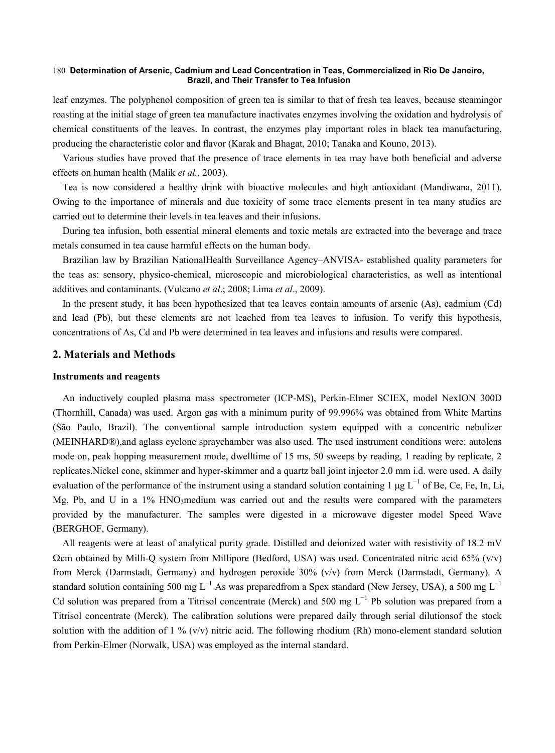#### **Determination of Arsenic, Cadmium and Lead Concentration in Teas, Commercialized in Rio De Janeiro,**  180 **Brazil, and Their Transfer to Tea Infusion**

leaf enzymes. The polyphenol composition of green tea is similar to that of fresh tea leaves, because steamingor roasting at the initial stage of green tea manufacture inactivates enzymes involving the oxidation and hydrolysis of chemical constituents of the leaves. In contrast, the enzymes play important roles in black tea manufacturing, producing the characteristic color and flavor (Karak and Bhagat, 2010; Tanaka and Kouno, 2013).

Various studies have proved that the presence of trace elements in tea may have both beneficial and adverse effects on human health (Malik *et al.,* 2003).

Tea is now considered a healthy drink with bioactive molecules and high antioxidant (Mandiwana, 2011). Owing to the importance of minerals and due toxicity of some trace elements present in tea many studies are carried out to determine their levels in tea leaves and their infusions.

During tea infusion, both essential mineral elements and toxic metals are extracted into the beverage and trace metals consumed in tea cause harmful effects on the human body.

Brazilian law by Brazilian NationalHealth Surveillance Agency–ANVISA- established quality parameters for the teas as: sensory, physico-chemical, microscopic and microbiological characteristics, as well as intentional additives and contaminants. (Vulcano *et al*.; 2008; Lima *et al*., 2009).

In the present study, it has been hypothesized that tea leaves contain amounts of arsenic (As), cadmium (Cd) and lead (Pb), but these elements are not leached from tea leaves to infusion. To verify this hypothesis, concentrations of As, Cd and Pb were determined in tea leaves and infusions and results were compared.

## **2. Materials and Methods**

## **Instruments and reagents**

An inductively coupled plasma mass spectrometer (ICP-MS), Perkin-Elmer SCIEX, model NexION 300D (Thornhill, Canada) was used. Argon gas with a minimum purity of 99.996% was obtained from White Martins (São Paulo, Brazil). The conventional sample introduction system equipped with a concentric nebulizer (MEINHARD®),and aglass cyclone spraychamber was also used. The used instrument conditions were: autolens mode on, peak hopping measurement mode, dwelltime of 15 ms, 50 sweeps by reading, 1 reading by replicate, 2 replicates.Nickel cone, skimmer and hyper-skimmer and a quartz ball joint injector 2.0 mm i.d. were used. A daily evaluation of the performance of the instrument using a standard solution containing 1 µg  $L^{-1}$  of Be, Ce, Fe, In, Li, Mg, Pb, and U in a 1% HNO3medium was carried out and the results were compared with the parameters provided by the manufacturer. The samples were digested in a microwave digester model Speed Wave (BERGHOF, Germany).

All reagents were at least of analytical purity grade. Distilled and deionized water with resistivity of 18.2 mV  $\Omega$ cm obtained by Milli-Q system from Millipore (Bedford, USA) was used. Concentrated nitric acid 65% (v/v) from Merck (Darmstadt, Germany) and hydrogen peroxide 30% (v/v) from Merck (Darmstadt, Germany). A standard solution containing 500 mg L<sup>-1</sup> As was preparedfrom a Spex standard (New Jersey, USA), a 500 mg L<sup>-1</sup> Cd solution was prepared from a Titrisol concentrate (Merck) and 500 mg  $L^{-1}$  Pb solution was prepared from a Titrisol concentrate (Merck). The calibration solutions were prepared daily through serial dilutionsof the stock solution with the addition of 1 % (v/v) nitric acid. The following rhodium (Rh) mono-element standard solution from Perkin-Elmer (Norwalk, USA) was employed as the internal standard.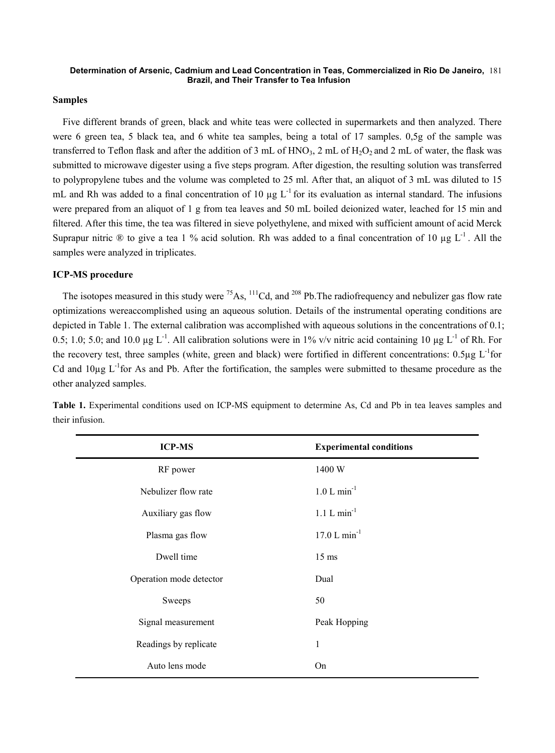#### **Determination of Arsenic, Cadmium and Lead Concentration in Teas, Commercialized in Rio De Janeiro,**  181 **Brazil, and Their Transfer to Tea Infusion**

#### **Samples**

Five different brands of green, black and white teas were collected in supermarkets and then analyzed. There were 6 green tea, 5 black tea, and 6 white tea samples, being a total of 17 samples. 0,5g of the sample was transferred to Teflon flask and after the addition of 3 mL of HNO<sub>3</sub>, 2 mL of H<sub>2</sub>O<sub>2</sub> and 2 mL of water, the flask was submitted to microwave digester using a five steps program. After digestion, the resulting solution was transferred to polypropylene tubes and the volume was completed to 25 ml. After that, an aliquot of 3 mL was diluted to 15 mL and Rh was added to a final concentration of 10  $\mu$ g L<sup>-1</sup> for its evaluation as internal standard. The infusions were prepared from an aliquot of 1 g from tea leaves and 50 mL boiled deionized water, leached for 15 min and filtered. After this time, the tea was filtered in sieve polyethylene, and mixed with sufficient amount of acid Merck Suprapur nitric  $\&$  to give a tea 1 % acid solution. Rh was added to a final concentration of 10 ug L<sup>-1</sup>. All the samples were analyzed in triplicates.

## **ICP-MS procedure**

The isotopes measured in this study were  $^{75}$ As,  $^{111}$ Cd, and  $^{208}$  Pb. The radiofrequency and nebulizer gas flow rate optimizations wereaccomplished using an aqueous solution. Details of the instrumental operating conditions are depicted in Table 1. The external calibration was accomplished with aqueous solutions in the concentrations of 0.1; 0.5; 1.0; 5.0; and 10.0 µg  $L^{-1}$ . All calibration solutions were in 1% v/v nitric acid containing 10 µg  $L^{-1}$  of Rh. For the recovery test, three samples (white, green and black) were fortified in different concentrations:  $0.5\mu$ g L<sup>-1</sup>for Cd and  $10\mu$ g L<sup>-1</sup>for As and Pb. After the fortification, the samples were submitted to thesame procedure as the other analyzed samples.

| <b>ICP-MS</b>           | <b>Experimental conditions</b> |
|-------------------------|--------------------------------|
| RF power                | 1400 W                         |
| Nebulizer flow rate     | $1.0 L min^{-1}$               |
| Auxiliary gas flow      | $1.1 L min^{-1}$               |
| Plasma gas flow         | $17.0 L min^{-1}$              |
| Dwell time              | $15 \text{ ms}$                |
| Operation mode detector | Dual                           |
| Sweeps                  | 50                             |
| Signal measurement      | Peak Hopping                   |
| Readings by replicate   | 1                              |
| Auto lens mode          | On                             |

**Table 1.** Experimental conditions used on ICP-MS equipment to determine As, Cd and Pb in tea leaves samples and their infusion.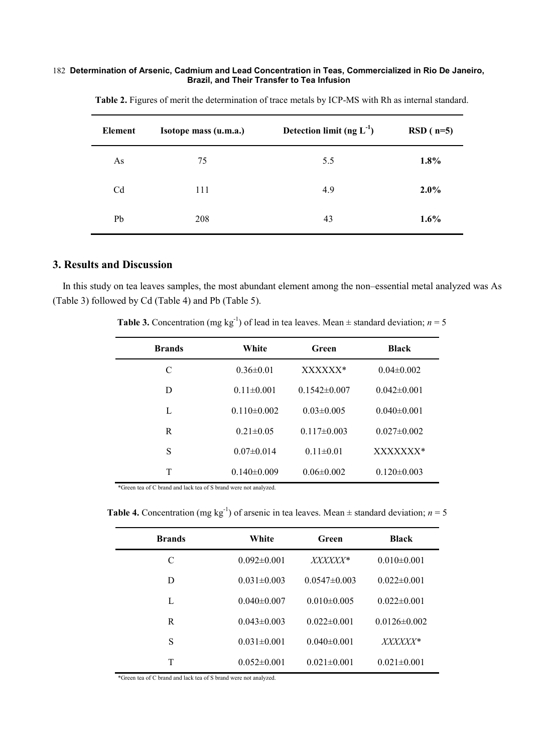#### **Determination of Arsenic, Cadmium and Lead Concentration in Teas, Commercialized in Rio De Janeiro,**  182 **Brazil, and Their Transfer to Tea Infusion**

| Element        | Isotope mass (u.m.a.) | Detection limit (ng $L^{-1}$ ) | $RSD(n=5)$ |
|----------------|-----------------------|--------------------------------|------------|
| As             | 75                    | 5.5                            | $1.8\%$    |
| C <sub>d</sub> | 111                   | 4.9                            | $2.0\%$    |
| Pb             | 208                   | 43                             | $1.6\%$    |

**Table 2.** Figures of merit the determination of trace metals by ICP-MS with Rh as internal standard.

# **3. Results and Discussion**

In this study on tea leaves samples, the most abundant element among the non–essential metal analyzed was As (Table 3) followed by Cd (Table 4) and Pb (Table 5).

|  |  |  |  |  | <b>Table 3.</b> Concentration (mg kg <sup>-1</sup> ) of lead in tea leaves. Mean $\pm$ standard deviation; $n = 5$ |  |
|--|--|--|--|--|--------------------------------------------------------------------------------------------------------------------|--|
|--|--|--|--|--|--------------------------------------------------------------------------------------------------------------------|--|

| <b>Brands</b> | White             | Green            | <b>Black</b>      |
|---------------|-------------------|------------------|-------------------|
| C             | $0.36 \pm 0.01$   | XXXXXX*          | $0.04\pm0.002$    |
| D             | $0.11 \pm 0.001$  | $0.1542\pm0.007$ | $0.042\pm0.001$   |
| L             | $0.110 \pm 0.002$ | $0.03 \pm 0.005$ | $0.040 \pm 0.001$ |
| R             | $0.21 \pm 0.05$   | $0.117\pm0.003$  | $0.027 \pm 0.002$ |
| S             | $0.07 \pm 0.014$  | $0.11 \pm 0.01$  | XXXXXXX*          |
| T             | $0.140 \pm 0.009$ | $0.06 \pm 0.002$ | $0.120 \pm 0.003$ |

\*Green tea of C brand and lack tea of S brand were not analyzed.

**Table 4.** Concentration (mg kg<sup>-1</sup>) of arsenic in tea leaves. Mean  $\pm$  standard deviation; *n* = 5

| <b>Brands</b> | White             | Green             | <b>Black</b>       |
|---------------|-------------------|-------------------|--------------------|
| C             | $0.092 \pm 0.001$ | <i>XXXXXX</i> *   | $0.010\pm0.001$    |
| D             | $0.031 \pm 0.003$ | $0.0547\pm0.003$  | $0.022 \pm 0.001$  |
| L             | $0.040 \pm 0.007$ | $0.010\pm0.005$   | $0.022 \pm 0.001$  |
| R             | $0.043 \pm 0.003$ | $0.022 \pm 0.001$ | $0.0126 \pm 0.002$ |
| S             | $0.031 \pm 0.001$ | $0.040\pm0.001$   | <i>XXXXXX*</i>     |
| T             | $0.052\pm0.001$   | $0.021 \pm 0.001$ | $0.021 \pm 0.001$  |

\*Green tea of C brand and lack tea of S brand were not analyzed.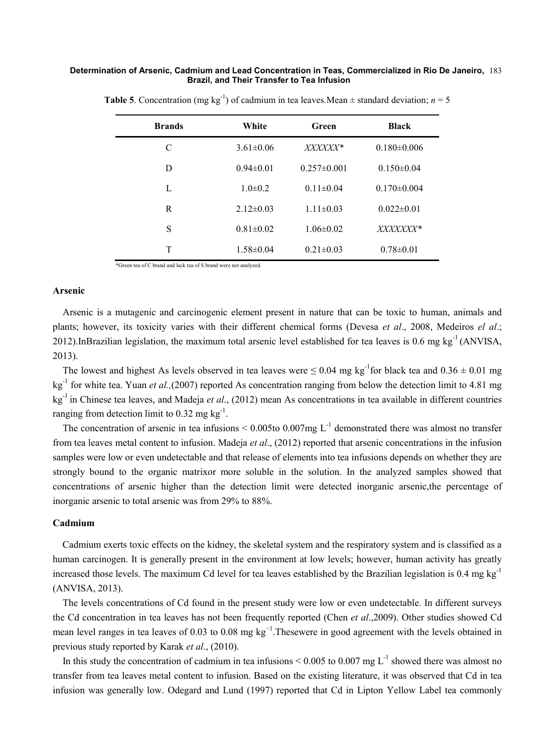#### **Determination of Arsenic, Cadmium and Lead Concentration in Teas, Commercialized in Rio De Janeiro,**  183 **Brazil, and Their Transfer to Tea Infusion**

| <b>Brands</b> | White           | Green             | Black             |
|---------------|-----------------|-------------------|-------------------|
| C             | $3.61 \pm 0.06$ | <i>XXXXXX*</i>    | $0.180 \pm 0.006$ |
| D             | $0.94 \pm 0.01$ | $0.257 \pm 0.001$ | $0.150 \pm 0.04$  |
| L             | $1.0\pm0.2$     | $0.11 \pm 0.04$   | $0.170 \pm 0.004$ |
| R             | $2.12\pm0.03$   | $1.11 \pm 0.03$   | $0.022 \pm 0.01$  |
| S             | $0.81 \pm 0.02$ | $1.06 \pm 0.02$   | <i>XXXXXXX*</i>   |
| T             | $1.58 \pm 0.04$ | $0.21 \pm 0.03$   | $0.78 \pm 0.01$   |

**Table 5**. Concentration (mg kg<sup>-1</sup>) of cadmium in tea leaves.Mean  $\pm$  standard deviation; *n* = 5

\*Green tea of C brand and lack tea of S brand were not analyzed.

### **Arsenic**

Arsenic is a mutagenic and carcinogenic element present in nature that can be toxic to human, animals and plants; however, its toxicity varies with their different chemical forms (Devesa *et al*., 2008, Medeiros *el al*.; 2012).InBrazilian legislation, the maximum total arsenic level established for tea leaves is 0.6 mg kg<sup>-1</sup> (ANVISA, 2013).

The lowest and highest As levels observed in tea leaves were  $\leq 0.04$  mg kg<sup>-1</sup> for black tea and  $0.36 \pm 0.01$  mg kg-1 for white tea. Yuan *et al.,*(2007) reported As concentration ranging from below the detection limit to 4.81 mg kg-1 in Chinese tea leaves, and Madeja *et al*., (2012) mean As concentrations in tea available in different countries ranging from detection limit to 0.32 mg  $\text{kg}^{-1}$ .

The concentration of arsenic in tea infusions  $\leq 0.005$  to  $0.007$  mg L<sup>-1</sup> demonstrated there was almost no transfer from tea leaves metal content to infusion. Madeja *et al*., (2012) reported that arsenic concentrations in the infusion samples were low or even undetectable and that release of elements into tea infusions depends on whether they are strongly bound to the organic matrixor more soluble in the solution. In the analyzed samples showed that concentrations of arsenic higher than the detection limit were detected inorganic arsenic,the percentage of inorganic arsenic to total arsenic was from 29% to 88%.

# **Cadmium**

Cadmium exerts toxic effects on the kidney, the skeletal system and the respiratory system and is classified as a human carcinogen. It is generally present in the environment at low levels; however, human activity has greatly increased those levels. The maximum Cd level for tea leaves established by the Brazilian legislation is 0.4 mg kg-1 (ANVISA, 2013).

The levels concentrations of Cd found in the present study were low or even undetectable. In different surveys the Cd concentration in tea leaves has not been frequently reported (Chen *et al*.,2009). Other studies showed Cd mean level ranges in tea leaves of 0.03 to 0.08 mg kg<sup>-1</sup>. Thesewere in good agreement with the levels obtained in previous study reported by Karak *et al*., (2010).

In this study the concentration of cadmium in tea infusions  $\leq 0.005$  to 0.007 mg L<sup>-1</sup> showed there was almost no transfer from tea leaves metal content to infusion. Based on the existing literature, it was observed that Cd in tea infusion was generally low. Odegard and Lund (1997) reported that Cd in Lipton Yellow Label tea commonly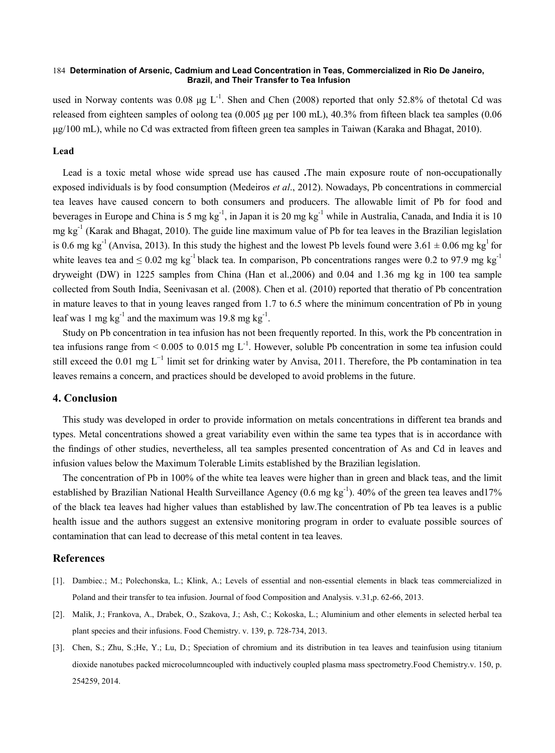#### **Determination of Arsenic, Cadmium and Lead Concentration in Teas, Commercialized in Rio De Janeiro,**  184 **Brazil, and Their Transfer to Tea Infusion**

used in Norway contents was 0.08  $\mu$ g L<sup>-1</sup>. Shen and Chen (2008) reported that only 52.8% of thetotal Cd was released from eighteen samples of oolong tea (0.005 μg per 100 mL), 40.3% from fifteen black tea samples (0.06 μg/100 mL), while no Cd was extracted from fifteen green tea samples in Taiwan (Karaka and Bhagat, 2010).

## **Lead**

Lead is a toxic metal whose wide spread use has caused **.**The main exposure route of non-occupationally exposed individuals is by food consumption (Medeiros *et al*., 2012). Nowadays, Pb concentrations in commercial tea leaves have caused concern to both consumers and producers. The allowable limit of Pb for food and beverages in Europe and China is 5 mg kg<sup>-1</sup>, in Japan it is 20 mg kg<sup>-1</sup> while in Australia, Canada, and India it is 10 mg kg<sup>-1</sup> (Karak and Bhagat, 2010). The guide line maximum value of Pb for tea leaves in the Brazilian legislation is 0.6 mg kg<sup>-1</sup> (Anvisa, 2013). In this study the highest and the lowest Pb levels found were  $3.61 \pm 0.06$  mg kg<sup>1</sup> for white leaves tea and  $\leq 0.02$  mg kg<sup>-1</sup> black tea. In comparison, Pb concentrations ranges were 0.2 to 97.9 mg kg<sup>-1</sup> dryweight (DW) in 1225 samples from China (Han et al.,2006) and 0.04 and 1.36 mg kg in 100 tea sample collected from South India, Seenivasan et al. (2008). Chen et al. (2010) reported that theratio of Pb concentration in mature leaves to that in young leaves ranged from 1.7 to 6.5 where the minimum concentration of Pb in young leaf was 1 mg  $kg^{-1}$  and the maximum was 19.8 mg  $kg^{-1}$ .

Study on Pb concentration in tea infusion has not been frequently reported. In this, work the Pb concentration in tea infusions range from  $\leq 0.005$  to 0.015 mg L<sup>-1</sup>. However, soluble Pb concentration in some tea infusion could still exceed the 0.01 mg L<sup>−1</sup> limit set for drinking water by Anvisa, 2011. Therefore, the Pb contamination in tea leaves remains a concern, and practices should be developed to avoid problems in the future.

## **4. Conclusion**

This study was developed in order to provide information on metals concentrations in different tea brands and types. Metal concentrations showed a great variability even within the same tea types that is in accordance with the findings of other studies, nevertheless, all tea samples presented concentration of As and Cd in leaves and infusion values below the Maximum Tolerable Limits established by the Brazilian legislation.

The concentration of Pb in 100% of the white tea leaves were higher than in green and black teas, and the limit established by Brazilian National Health Surveillance Agency  $(0.6 \text{ mg kg}^{-1})$ . 40% of the green tea leaves and 17% of the black tea leaves had higher values than established by law.The concentration of Pb tea leaves is a public health issue and the authors suggest an extensive monitoring program in order to evaluate possible sources of contamination that can lead to decrease of this metal content in tea leaves.

# **References**

- [1]. Dambiec.; M.; Polechonska, L.; Klink, A.; Levels of essential and non-essential elements in black teas commercialized in Poland and their transfer to tea infusion. Journal of food Composition and Analysis. v.31,p. 62-66, 2013.
- [2]. Malik, J.; Frankova, A., Drabek, O., Szakova, J.; Ash, C.; Kokoska, L.; Aluminium and other elements in selected herbal tea plant species and their infusions. Food Chemistry. v. 139, p. 728-734, 2013.
- [3]. Chen, S.; Zhu, S.;He, Y.; Lu, D.; Speciation of chromium and its distribution in tea leaves and teainfusion using titanium dioxide nanotubes packed microcolumncoupled with inductively coupled plasma mass spectrometry.Food Chemistry.v. 150, p. 254259, 2014.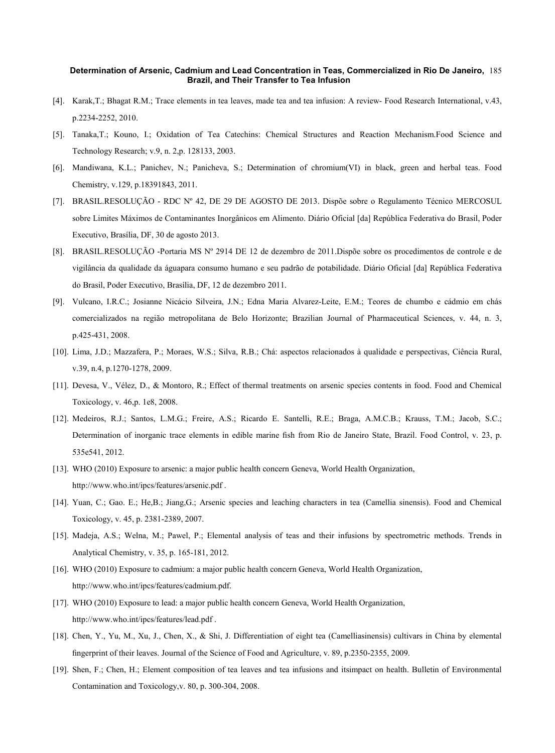#### **Determination of Arsenic, Cadmium and Lead Concentration in Teas, Commercialized in Rio De Janeiro,**  185 **Brazil, and Their Transfer to Tea Infusion**

- [4]. Karak,T.; Bhagat R.M.; Trace elements in tea leaves, made tea and tea infusion: A review- Food Research International, v.43, p.2234-2252, 2010.
- [5]. Tanaka,T.; Kouno, I.; Oxidation of Tea Catechins: Chemical Structures and Reaction Mechanism.Food Science and Technology Research; v.9, n. 2,p. 128133, 2003.
- [6]. Mandiwana, K.L.; Panichev, N.; Panicheva, S.; Determination of chromium(VI) in black, green and herbal teas. Food Chemistry, v.129, p.18391843, 2011.
- [7]. BRASIL.RESOLUÇÃO RDC Nº 42, DE 29 DE AGOSTO DE 2013. Dispõe sobre o Regulamento Técnico MERCOSUL sobre Limites Máximos de Contaminantes Inorgânicos em Alimento. Diário Oficial [da] República Federativa do Brasil, Poder Executivo, Brasília, DF, 30 de agosto 2013.
- [8]. BRASIL.RESOLUÇÃO -Portaria MS Nº 2914 DE 12 de dezembro de 2011.Dispõe sobre os procedimentos de controle e de vigilância da qualidade da águapara consumo humano e seu padrão de potabilidade. Diário Oficial [da] República Federativa do Brasil, Poder Executivo, Brasília, DF, 12 de dezembro 2011.
- [9]. Vulcano, I.R.C.; Josianne Nicácio Silveira, J.N.; Edna Maria Alvarez-Leite, E.M.; Teores de chumbo e cádmio em chás comercializados na região metropolitana de Belo Horizonte; Brazilian Journal of Pharmaceutical Sciences, v. 44, n. 3, p.425-431, 2008.
- [10]. Lima, J.D.; Mazzafera, P.; Moraes, W.S.; Silva, R.B.; Chá: aspectos relacionados à qualidade e perspectivas, Ciência Rural, v.39, n.4, p.1270-1278, 2009.
- [11]. Devesa, V., Vélez, D., & Montoro, R.; Effect of thermal treatments on arsenic species contents in food. Food and Chemical Toxicology, v. 46,p. 1e8, 2008.
- [12]. Medeiros, R.J.; Santos, L.M.G.; Freire, A.S.; Ricardo E. Santelli, R.E.; Braga, A.M.C.B.; Krauss, T.M.; Jacob, S.C.; Determination of inorganic trace elements in edible marine fish from Rio de Janeiro State, Brazil. Food Control, v. 23, p. 535e541, 2012.
- [13]. WHO (2010) Exposure to arsenic: a major public health concern Geneva, World Health Organization, http://www.who.int/ipcs/features/arsenic.pdf .
- [14]. Yuan, C.; Gao. E.; He,B.; Jiang,G.; Arsenic species and leaching characters in tea (Camellia sinensis). Food and Chemical Toxicology, v. 45, p. 2381-2389, 2007.
- [15]. Madeja, A.S.; Welna, M.; Pawel, P.; Elemental analysis of teas and their infusions by spectrometric methods. Trends in Analytical Chemistry, v. 35, p. 165-181, 2012.
- [16]. WHO (2010) Exposure to cadmium: a major public health concern Geneva, World Health Organization, http://www.who.int/ipcs/features/cadmium.pdf.
- [17]. WHO (2010) Exposure to lead: a major public health concern Geneva, World Health Organization, http://www.who.int/ipcs/features/lead.pdf .
- [18]. Chen, Y., Yu, M., Xu, J., Chen, X., & Shi, J. Differentiation of eight tea (Camelliasinensis) cultivars in China by elemental fingerprint of their leaves. Journal of the Science of Food and Agriculture, v. 89, p.2350-2355, 2009.
- [19]. Shen, F.; Chen, H.; Element composition of tea leaves and tea infusions and itsimpact on health. Bulletin of Environmental Contamination and Toxicology,v. 80, p. 300-304, 2008.